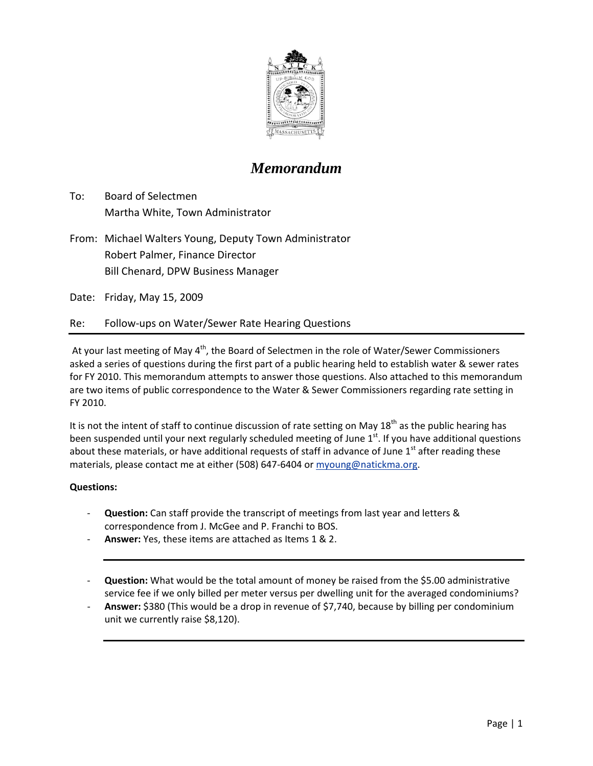

### *Memorandum*

- To: Board of Selectmen Martha White, Town Administrator
- From: Michael Walters Young, Deputy Town Administrator Robert Palmer, Finance Director Bill Chenard, DPW Business Manager

Date: Friday, May 15, 2009

### Re: Follow‐ups on Water/Sewer Rate Hearing Questions

At your last meeting of May  $4<sup>th</sup>$ , the Board of Selectmen in the role of Water/Sewer Commissioners asked a series of questions during the first part of a public hearing held to establish water & sewer rates for FY 2010. This memorandum attempts to answer those questions. Also attached to this memorandum are two items of public correspondence to the Water & Sewer Commissioners regarding rate setting in FY 2010.

It is not the intent of staff to continue discussion of rate setting on May  $18<sup>th</sup>$  as the public hearing has been suspended until your next regularly scheduled meeting of June  $1<sup>st</sup>$ . If you have additional questions about these materials, or have additional requests of staff in advance of June  $1<sup>st</sup>$  after reading these materials, please contact me at either (508) 647‐6404 or [myoung@natickma.org](mailto:myoung@natickma.org).

#### **Questions:**

- ‐ **Question:** Can staff provide the transcript of meetings from last year and letters & correspondence from J. McGee and P. Franchi to BOS.
- ‐ **Answer:** Yes, these items are attached as Items 1 & 2.
- ‐ **Question:** What would be the total amount of money be raised from the \$5.00 administrative service fee if we only billed per meter versus per dwelling unit for the averaged condominiums?
- ‐ **Answer:** \$380 (This would be a drop in revenue of \$7,740, because by billing per condominium unit we currently raise \$8,120).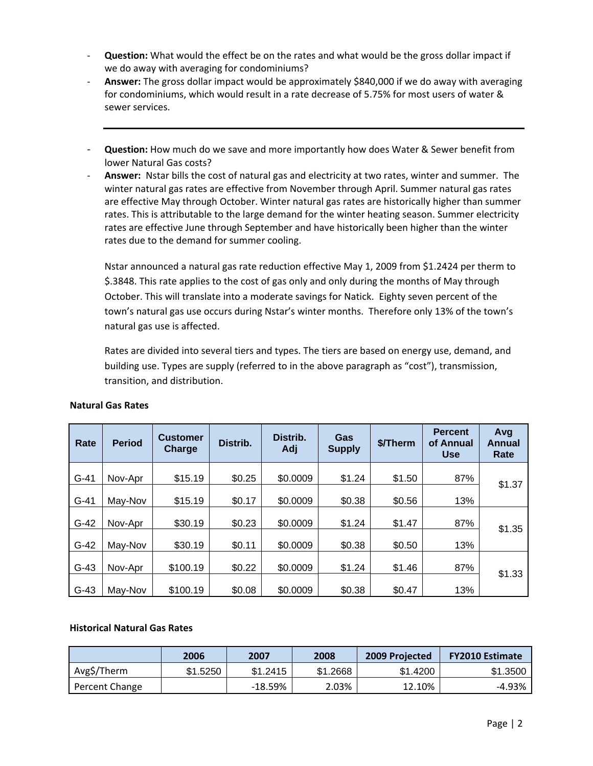- ‐ **Question:** What would the effect be on the rates and what would be the gross dollar impact if we do away with averaging for condominiums?
- ‐ **Answer:** The gross dollar impact would be approximately \$840,000 if we do away with averaging for condominiums, which would result in a rate decrease of 5.75% for most users of water & sewer services.
- ‐ **Question:** How much do we save and more importantly how does Water & Sewer benefit from lower Natural Gas costs?
- ‐ **Answer:** Nstar bills the cost of natural gas and electricity at two rates, winter and summer. The winter natural gas rates are effective from November through April. Summer natural gas rates are effective May through October. Winter natural gas rates are historically higher than summer rates. This is attributable to the large demand for the winter heating season. Summer electricity rates are effective June through September and have historically been higher than the winter rates due to the demand for summer cooling.

Nstar announced a natural gas rate reduction effective May 1, 2009 from \$1.2424 per therm to \$.3848. This rate applies to the cost of gas only and only during the months of May through October. This will translate into a moderate savings for Natick. Eighty seven percent of the town's natural gas use occurs during Nstar's winter months. Therefore only 13% of the town's natural gas use is affected.

Rates are divided into several tiers and types. The tiers are based on energy use, demand, and building use. Types are supply (referred to in the above paragraph as "cost"), transmission, transition, and distribution.

| Rate   | <b>Period</b> | <b>Customer</b><br><b>Charge</b> | Distrib. | Distrib.<br>Adj | Gas<br><b>Supply</b> | \$/Therm | <b>Percent</b><br>of Annual<br><b>Use</b> | Avg<br>Annual<br>Rate |
|--------|---------------|----------------------------------|----------|-----------------|----------------------|----------|-------------------------------------------|-----------------------|
| $G-41$ | Nov-Apr       | \$15.19                          | \$0.25   | \$0.0009        | \$1.24               | \$1.50   | 87%                                       |                       |
| $G-41$ | May-Nov       | \$15.19                          | \$0.17   | \$0.0009        | \$0.38               | \$0.56   | 13%                                       | \$1.37                |
| $G-42$ | Nov-Apr       | \$30.19                          | \$0.23   | \$0.0009        | \$1.24               | \$1.47   | 87%                                       |                       |
| $G-42$ | May-Nov       | \$30.19                          | \$0.11   | \$0.0009        | \$0.38               | \$0.50   | 13%                                       | \$1.35                |
| $G-43$ | Nov-Apr       | \$100.19                         | \$0.22   | \$0.0009        | \$1.24               | \$1.46   | 87%                                       |                       |
| $G-43$ | May-Nov       | \$100.19                         | \$0.08   | \$0.0009        | \$0.38               | \$0.47   | 13%                                       | \$1.33                |

#### **Natural Gas Rates**

#### **Historical Natural Gas Rates**

|                | 2006     | 2007       | 2008     | 2009 Projected | <b>FY2010 Estimate</b> |
|----------------|----------|------------|----------|----------------|------------------------|
| Avg\$/Therm    | \$1.5250 | \$1.2415   | \$1.2668 | \$1.4200       | \$1.3500               |
| Percent Change |          | $-18.59\%$ | 2.03%    | 12.10%         | -4.93%                 |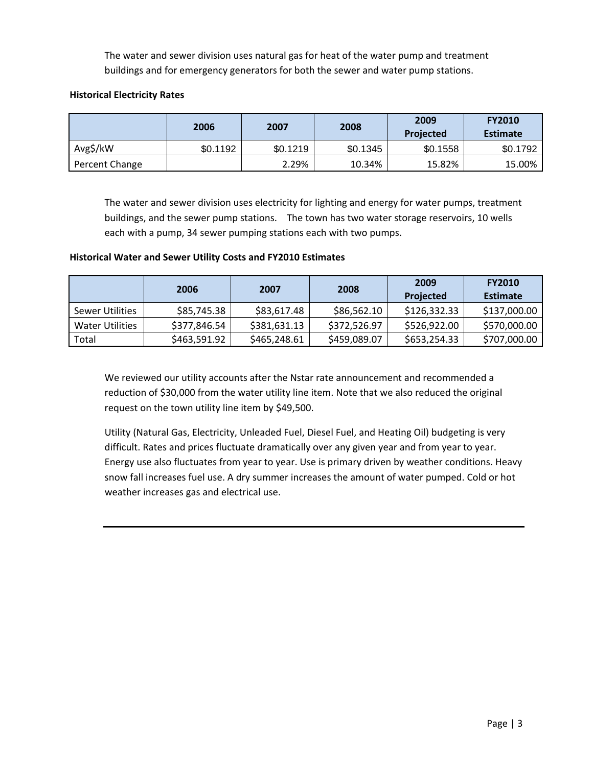The water and sewer division uses natural gas for heat of the water pump and treatment buildings and for emergency generators for both the sewer and water pump stations.

#### **Historical Electricity Rates**

|                | 2006     | 2007     | 2008     | 2009<br><b>Projected</b> | <b>FY2010</b><br><b>Estimate</b> |
|----------------|----------|----------|----------|--------------------------|----------------------------------|
| Avg\$/kW       | \$0.1192 | \$0.1219 | \$0.1345 | \$0.1558                 | \$0.1792                         |
| Percent Change |          | 2.29%    | 10.34%   | 15.82%                   | 15.00%                           |

The water and sewer division uses electricity for lighting and energy for water pumps, treatment buildings, and the sewer pump stations. The town has two water storage reservoirs, 10 wells each with a pump, 34 sewer pumping stations each with two pumps.

#### **Historical Water and Sewer Utility Costs and FY2010 Estimates**

|                 | 2006         | 2007         | 2008         | 2009<br>Projected | <b>FY2010</b><br><b>Estimate</b> |
|-----------------|--------------|--------------|--------------|-------------------|----------------------------------|
| Sewer Utilities | \$85,745.38  | \$83,617.48  | \$86,562.10  | \$126,332.33      | \$137,000.00                     |
| Water Utilities | \$377,846.54 | \$381,631.13 | \$372,526.97 | \$526,922.00      | \$570,000.00                     |
| Total           | \$463,591.92 | \$465,248.61 | \$459,089.07 | \$653,254.33      | \$707,000.00                     |

We reviewed our utility accounts after the Nstar rate announcement and recommended a reduction of \$30,000 from the water utility line item. Note that we also reduced the original request on the town utility line item by \$49,500.

Utility (Natural Gas, Electricity, Unleaded Fuel, Diesel Fuel, and Heating Oil) budgeting is very difficult. Rates and prices fluctuate dramatically over any given year and from year to year. Energy use also fluctuates from year to year. Use is primary driven by weather conditions. Heavy snow fall increases fuel use. A dry summer increases the amount of water pumped. Cold or hot weather increases gas and electrical use.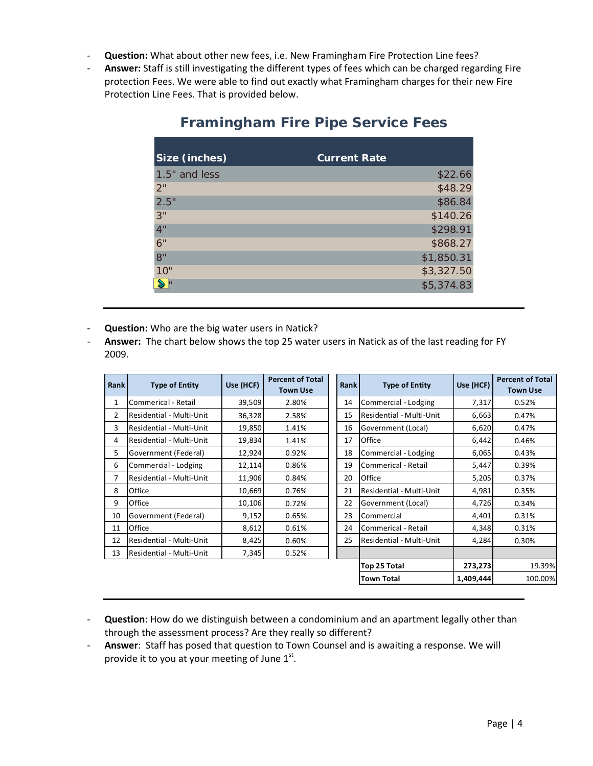- ‐ **Question:** What about other new fees, i.e. New Framingham Fire Protection Line fees?
- ‐ **Answer:** Staff is still investigating the different types of fees which can be charged regarding Fire protection Fees. We were able to find out exactly what Framingham charges for their new Fire Protection Line Fees. That is provided below.

| Size (inches) | <b>Current Rate</b> |
|---------------|---------------------|
| 1.5" and less | \$22.66             |
| 2"            | \$48.29             |
| 2.5"          | \$86.84             |
| 3"            | \$140.26            |
| 4"            | \$298.91            |
| 6"            | \$868.27            |
| 8"            | \$1,850.31          |
| 10"           | \$3,327.50          |
|               | \$5,374.83          |

### **Framingham Fire Pipe Service Fees**

- ‐ **Question:** Who are the big water users in Natick?
- ‐ **Answer:** The chart below shows the top 25 water users in Natick as of the last reading for FY 2009.

| Rank | <b>Type of Entity</b>    | Use (HCF) | <b>Percent of Total</b><br><b>Town Use</b> | <b>Rank</b> | <b>Type of Entity</b>    | Use (HCF) | <b>Percent of Total</b><br><b>Town Use</b> |
|------|--------------------------|-----------|--------------------------------------------|-------------|--------------------------|-----------|--------------------------------------------|
| 1    | Commerical - Retail      | 39,509    | 2.80%                                      | 14          | Commercial - Lodging     | 7,317     | 0.52%                                      |
| 2    | Residential - Multi-Unit | 36,328    | 2.58%                                      | 15          | Residential - Multi-Unit | 6,663     | 0.47%                                      |
| 3    | Residential - Multi-Unit | 19,850    | 1.41%                                      | 16          | Government (Local)       | 6,620     | 0.47%                                      |
| 4    | Residential - Multi-Unit | 19,834    | 1.41%                                      | 17          | Office                   | 6,442     | 0.46%                                      |
| 5    | Government (Federal)     | 12,924    | 0.92%                                      | 18          | Commercial - Lodging     | 6,065     | 0.43%                                      |
| 6    | Commercial - Lodging     | 12,114    | 0.86%                                      | 19          | Commerical - Retail      | 5,447     | 0.39%                                      |
| 7    | Residential - Multi-Unit | 11,906    | 0.84%                                      | 20          | Office                   | 5,205     | 0.37%                                      |
| 8    | Office                   | 10,669    | 0.76%                                      | 21          | Residential - Multi-Unit | 4,981     | 0.35%                                      |
| 9    | Office                   | 10,106    | 0.72%                                      | 22          | Government (Local)       | 4,726     | 0.34%                                      |
| 10   | Government (Federal)     | 9,152     | 0.65%                                      | 23          | Commercial               | 4,401     | 0.31%                                      |
| 11   | Office                   | 8,612     | 0.61%                                      | 24          | Commerical - Retail      | 4,348     | 0.31%                                      |
| 12   | Residential - Multi-Unit | 8,425     | 0.60%                                      | 25          | Residential - Multi-Unit | 4,284     | 0.30%                                      |
| 13   | Residential - Multi-Unit | 7,345     | 0.52%                                      |             |                          |           |                                            |
|      |                          |           |                                            |             | Top 25 Total             | 273,273   | 19.39%                                     |
|      |                          |           |                                            |             | Town Total               | 1,409,444 | 100.00%                                    |

- ‐ **Question**: How do we distinguish between a condominium and an apartment legally other than through the assessment process? Are they really so different?
- ‐ **Answer**: Staff has posed that question to Town Counsel and is awaiting a response. We will provide it to you at your meeting of June  $1<sup>st</sup>$ .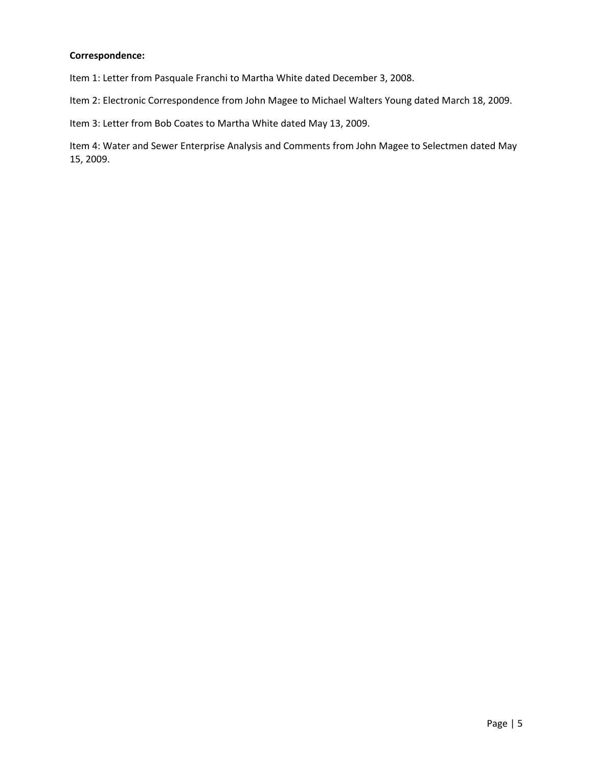### **Correspondence:**

Item 1: Letter from Pasquale Franchi to Martha White dated December 3, 2008.

Item 2: Electronic Correspondence from John Magee to Michael Walters Young dated March 18, 2009.

Item 3: Letter from Bob Coates to Martha White dated May 13, 2009.

Item 4: Water and Sewer Enterprise Analysis and Comments from John Magee to Selectmen dated May 15, 2009.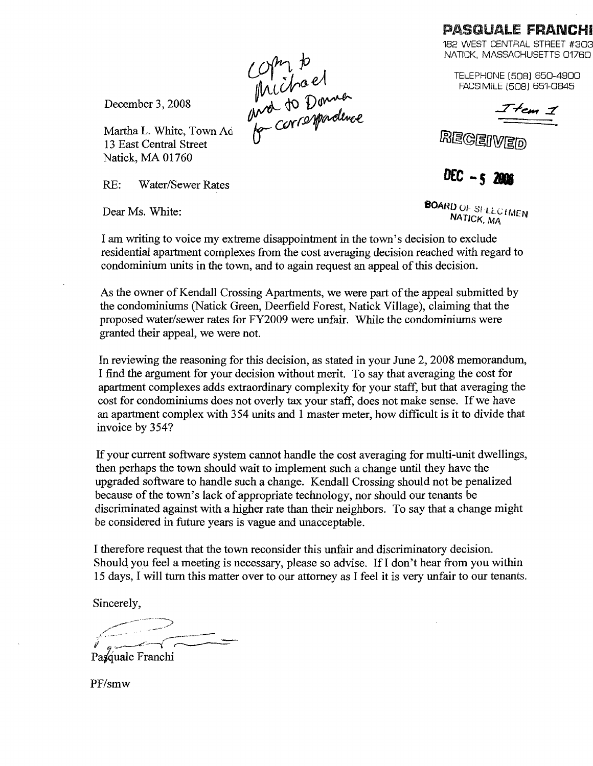### PASQUALE FRANCHI

182 WEST CENTRAL STREET #303 NATICK, MASSACHUSETTS 01760

TELEPHONE [508] 650-4900 FACSIMilE [508] 651-0845

 $7$  tem  $7$ 

**REGER** 

DEC - 5 2008

December 3, 2008

Martha L. White, Town Aci 13 East Central Street Natick, MA 01760

RE: Water/Sewer Rates

Dear Ms. White: SOMETHER SOMETHER SOMETHER SOMETHER SOMETHER SOMETHER NATICK, MA

I am writing to voice my extreme disappointment in the town's decision to exclude residential apartment complexes from the cost averaging decision reached with regard to condominium units in the town, and to again request an appeal of this decision.

As the owner of Kendall Crossing Apartments, we were part of the appeal submitted by the condominiums (Natick Green, Deerfield Forest, Natick Village), claiming that the proposed water/sewer rates for FY2009 were unfair. While the condominiums were granted their appeal, we were not.

In reviewing the reasoning for this decision, as stated in your June 2, 2008 memorandum, I find the argument for your decision without merit. To say that averaging the cost for apartment complexes adds extraordinary complexity for your staff, but that averaging the cost for condominiums does not overly tax your staff, does not make sense. If we have an apartment complex with 354 units and 1 master meter, how difficult is it to divide that invoice by 354?

If your current software system cannot handle the cost averaging for multi-unit dwellings, then perhaps the town should wait to implement such a change until they have the upgraded software to handle such a change. Kendall Crossing should not be penalized because of the town's lack of appropriate technology, nor should our tenants be discriminated against with a higher rate than their neighbors. To say that a change might be considered in future years is vague and unacceptable.

I therefore request that the town reconsider this unfair and discriminatory decision. Should you feel a meeting is necessary, please so advise. If I don't hear from you within 15 days, I will turn this matter over to our attorney as I feel it is very unfair to our tenants.

Sincerely,

./-- '":.~~=:> *J""'-'."---e;;..*--(~

Pasquale Franchi

PF/smw

Compa<br>Michael<br>Mo to Donner<br>G correspondence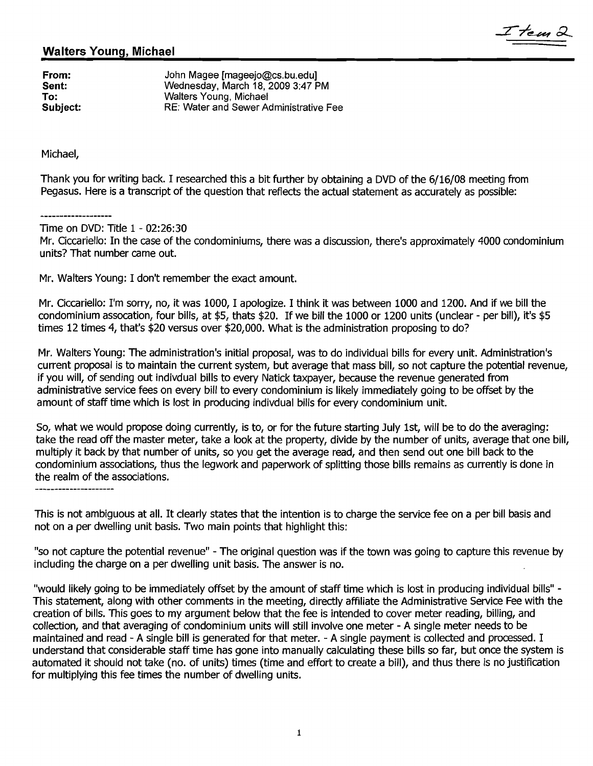### Walters Young, Michael

From: John Magee [mageejo@cs.bu.edu]<br>
Sent: Vednesday, March 18, 2009 3:47 P Sent: Wednesday, March 18, 2009 3:47 PM<br>To: Walters Young, Michael To: Walters Young, Michael<br>
Subject: RE: Water and Sewer Ad RE: Water and Sewer Administrative Fee

Michael,

Thank you for writing back. I researched this a bit further by obtaining a DVD of the 6/16/08 meeting from Pegasus. Here is a transcript of the question that reflects the actual statement as accurately as possible:

Time on DVD: Title 1 - 02:26:30

Mr. Ciccariello: In the case of the condominiums, there was a discussion, there's approximately 4000 condominium units? That number came out.

I tem é

Mr. Walters Young: I don't remember the exact amount.

Mr. Ciccariello: I'm sorry, no, it was 1000, I apologize. I think it was between 1000 and 1200. And if we bill the condominium assocation, four bills, at \$5, thats \$20. If we bill the 1000 or 1200 units (unclear - per bill), it's \$5 times 12 times 4, that's \$20 versus over \$20,000. What is the administration proposing to do?

Mr. Walters Young: The administration's initial proposal, was to do individual bills for every unit. Administration's current proposal is to maintain the current system, but average that mass bill, so not capture the potential revenue, if you will, of sending out indivdual bills to every Natick taxpayer, because the revenue generated from administrative service fees on every bill to every condominium is likely immediately going to be offset by the amount of staff time which is lost in producing indivdual bills for every condominium unit.

So, what we would propose doing currently, is to, or for the future starting July 1st, will be to do the averaging: take the read off the master meter, take a look at the property, divide by the number of units, average that one bill, multiply it back by that number of units, so you get the average read, and then send out one bill back to the condominium associations, thus the legwork and paperwork of splitting those bills remains as currently is done in the realm of the associations.

This is not ambiguous at all. It clearly states that the intention is to charge the service fee on a per bill basis and not on a per dwelling unit basis. Two main points that highlight this:

"so not capture the potential revenue" - The original question was if the town was going to capture this revenue by including the charge on a per dwelling unit basis. The answer is no.

"would likely going to be immediately offset by the amount of staff time which is lost in producing individual bills" This statement, along with other comments in the meeting, directly affiliate the Administrative Service Fee with the creation of bills. This goes to my argument below that the fee is intended to cover meter reading, billing, and collection, and that averaging of condominium units will still involve one meter - A single meter needs to be maintained and read - A single bill is generated for that meter. - A single payment is collected and processed. I understand that considerable staff time has gone into manually calculating these bills so far, but once the system is automated it should not take (no. of units) times (time and effort to create a bill), and thus there is no justification for multiplying this fee times the number of dwelling units.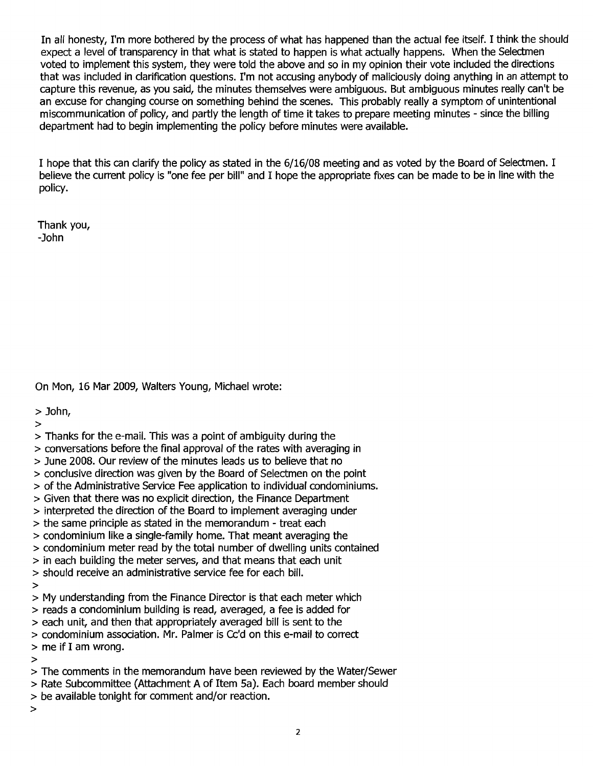In all honesty, I'm more bothered by the process of what has happened than the actual fee itself. I think the should expect a level of transparency in that what is stated to happen is what actually happens. When the Selectmen voted to implement this system, they were told the above and so in my opinion their vote included the directions that was included in clarification questions. I'm not accusing anybody of maliciously doing anything in an attempt to capture this revenue, as you said, the minutes themselves were ambiguous. But ambiguous minutes really can't be an excuse for changing course on something behind the scenes. This probably really a symptom of unintentional miscommunication of policy, and partly the length of time it takes to prepare meeting minutes - since the billing department had to begin implementing the policy before minutes were available.

I hope that this can clarify the policy as stated in the 6/16/08 meeting and as voted by the Board of Selectmen. I believe the current policy is "one fee per bill" and I hope the appropriate fixes can be made to be in line with the policy.

Thank you, -John

On Mon, 16 Mar 2009, Walters Young, Michael wrote:

> John,

>

- > Thanks for the e-mail. This was a point of ambiguity during the
- > conversations before the final approval of the rates with averaging in
- > June 2008. Our review of the minutes leads us to believe that no
- > conclusive direction was given by the Board of Selectmen on the point
- > of the Administrative Service Fee application to individual condominiums.
- > Given that there was no explicit direction, the Finance Department
- > interpreted the direction of the Board to implement averaging under
- > the same principle as stated in the memorandum treat each
- > condominium like a single-family home. That meant averaging the
- > condominium meter read by the total number of dwelling units contained
- > in each building the meter serves, and that means that each unit
- > should receive an administrative service fee for each bill.
- >

> My understanding from the Finance Director is that each meter which

> reads a condominium bUilding is read, averaged, a fee is added for

- > each unit, and then that appropriately averaged bill is sent to the
- > condominium association. Mr. Palmer is Cc'd on this e-mail to correct
- > me if I am wrong.

>

- > The comments in the memorandum have been reviewed by the Water/Sewer
- > Rate Subcommittee (Attachment A of Item Sa). Each board member should
- > be available tonight for comment and/or reaction.

>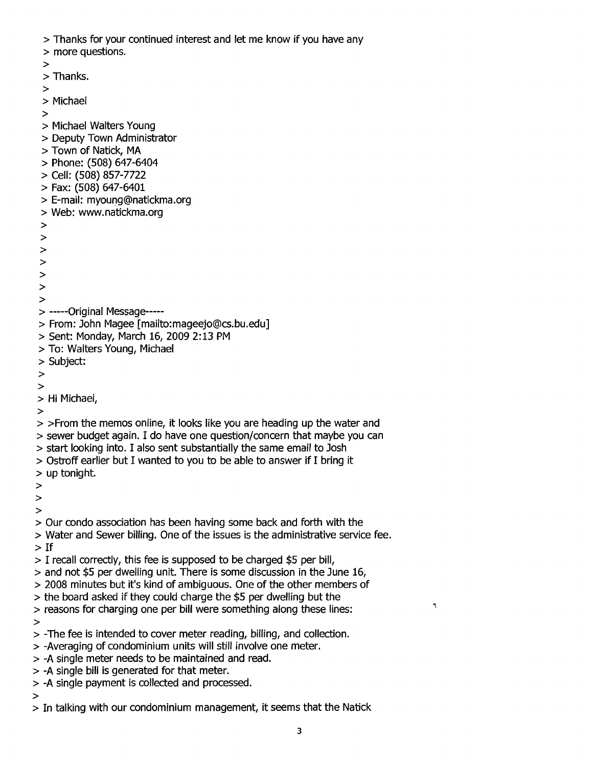> Thanks for your continued interest and let me know if you have any

> more questions.

> > Thanks. > > Michael > > Michael Walters Young > Deputy Town Administrator > Town of Natick, MA > Phone: (508) 647-6404 > Cell: (508) 857-7722 > Fax: (508) 647-6401 > E-mail: myoung@natickma.org > Web: www.natickma.org > > > > > > > > -----Original Message---- > From: John Magee [mailto:mageejo@cs.bu.edu] > Sent: Monday, March 16, 2009 2: 13 PM > To: Walters Young, Michael > Subject: > > > Hi Michael, > > >From the memos online, it looks like you are heading up the water and > sewer budget again. I do have one question/concern that maybe you can > start looking into. I also sent substantially the same email to Josh > Ostroff earlier but I wanted to you to be able to answer if I bring it > up tonight. > > > > Our condo association has been having some back and forth with the > Water and Sewer billing. One of the issues is the administrative service fee. > If > I recall correctly, this fee is supposed to be charged \$5 per bill, > and not \$5 per dwelling unit. There is some discussion in the June 16, > 2008 minutes but it's kind of ambiguous. One of the other members of > the board asked if they could charge the \$5 per dwelling but the > reasons for charging one per bill were something along these lines: > > -The fee is intended to cover meter reading, billing, and collection. > -Averaging of condominium units will still involve one meter. > -A single meter needs to be maintained and read.

- > -A single bill is generated for that meter.
- > -A single payment is collected and processed.

>

> In talking with our condominium management, it seems that the Natick

 $\tilde{\mathcal{L}}$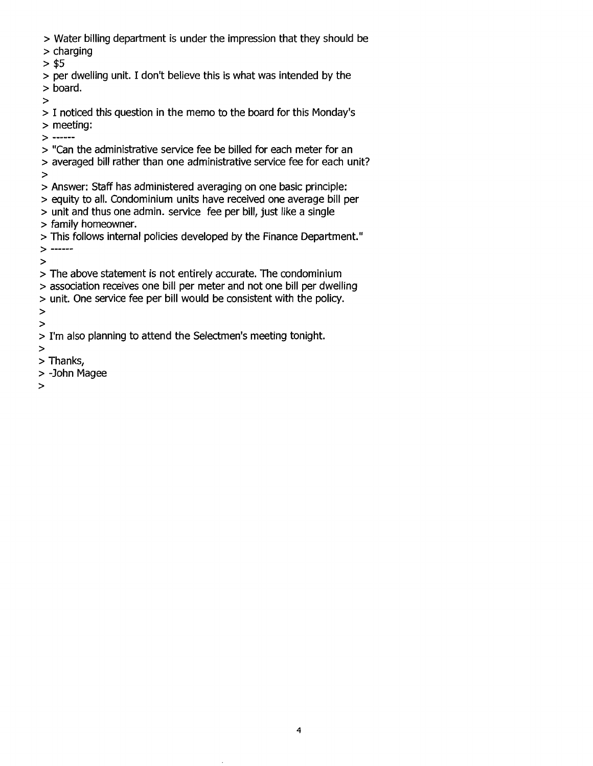- > Water billing department is under the impression that they should be
- > charging
- $> $5$
- > per dwelling unit. I don't believe this is what was intended by the > board.

>

- > I noticed this question in the memo to the board for this Monday's > meeting:
- > -----
- > "Can the administrative service fee be billed for each meter for an
- > averaged bill rather than one administrative service fee for each unit? >
- > Answer: Staff has administered averaging on one basic principle:
- > equity to all. Condominium units have received one average bill per
- > unit and thus one admin. service fee per bill, just like a single > family homeowner.
- > This follows internal policies developed by the Finance Department."  $>$  ------

>

- > The above statement is not entirely accurate. The condominium
- > association receives one bill per meter and not one bill per dwelling
- > unit. One service fee per bill would be consistent with the policy.
- > >
- > I'm also planning to attend the Selectmen's meeting tonight.
- >
- > Thanks,
- > -John Magee
- >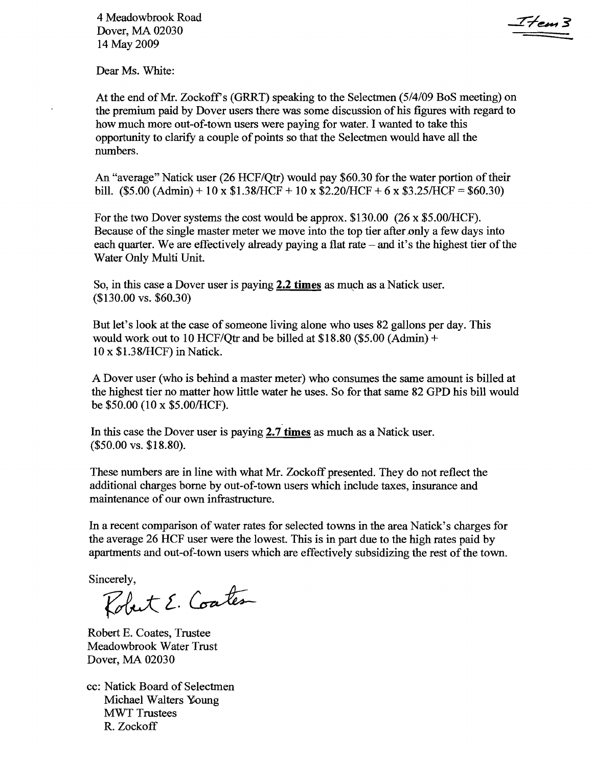4 Meadowbrook Road Dover, MA 02030 14 May 2009

I tem 3

Dear Ms. White:

At the end of Mr. Zockoff's (GRRT) speaking to the Selectmen (5/4/09 BoS meeting) on the premium paid by Dover users there was some discussion of his figures with regard to how much more out-of-toWn users were paying for water. I wanted to take this opportunity to clarify a couple of points so that the Selectmen would have all the numbers.

An "average" Natick user (26 HCF/Qtr) would pay \$60.30 for the water portion of their bill.  $(\$5.00 (Admin) + 10 \times \$1.38/HCF + 10 \times \$2.20/HCF + 6 \times \$3.25/HCF = \$60.30)$ 

For the two Dover systems the cost would be approx.  $$130.00$  (26 x  $$5.00/HCF$ ). Because of the single master meter we move into the top tier after only a few days into each quarter. We are effectively already paying a flat rate  $-$  and it's the highest tier of the Water Only Multi Unit.

So, in this case a Dover user is paying 2.2 times as much as a Natick user. (\$130.00 vs. \$60.30)

But let's look at the case of someone living alone who uses 82 gallons per day. This would work out to 10 HCF/Otr and be billed at \$18.80 (\$5.00 (Admin) + 10 x \$1.38/HCF) in Natick.

A Dover user (who is behind a master meter) who consumes the same amount is billed at the highest tier no matter how little water he uses. So for that same 82 GPD his bill would be  $$50.00$  (10 x  $$5.00/HCF$ ).

In this case the Dover user is paying 2.7 times as much as a Natick user. (\$50.00 vs. \$18.80).

These numbers are in line with what Mr. Zockoff presented. They do not reflect the additional charges borne by out-of-town users which include taxes, insurance and maintenance of our own infrastructure.

In a recent comparison of water rates for selected towns in the area Natick's charges for the average 26 HCF user were the lowest. This is in part due to the high rates paid by apartments and out-of-town users which are effectively subsidizing the rest of the town.

Sincerely,

Robert E. Coates

Robert E. Coates, Trustee Meadowbrook Water Trust Dover, MA 02030

cc: Natick Board of Selectmen Michael Walters Young MWT Trustees R. Zockoff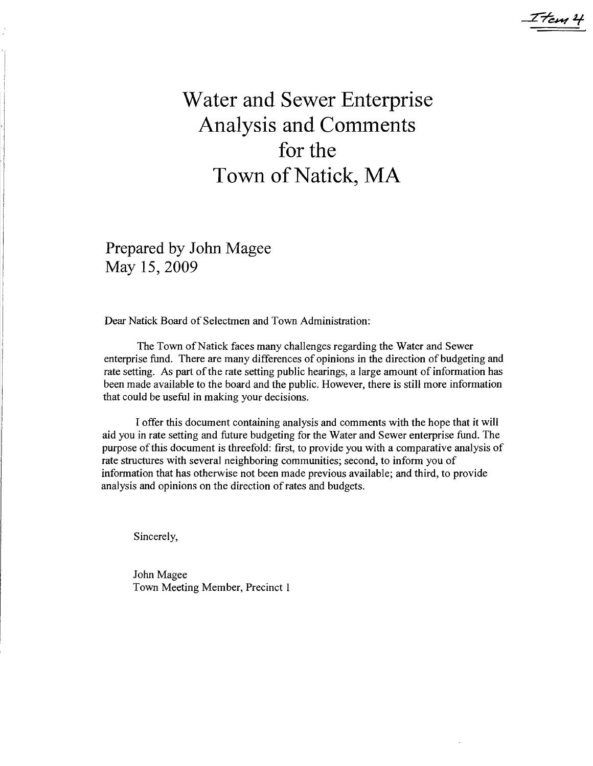# **Water and Sewer Enterprise Analysis and Comments for the Town** of Natick, **MA**

I tem 4

Prepared by John Magee May 15,2009

Dear Natick Board of Selectmen and Town Administration:

The Town of Natick faces many challenges regarding the Water and Sewer enterprise fund. There are many differences ofopinions in the direction of budgeting and rate setting. As part of the rate setting public hearings, a large amount of information has been made available to the board and the public. However, there is still more information that could be useful in making your decisions.

I offer this document containing analysis and comments with the hope that it will aid you in rate setting and future budgeting for the Water and Sewer enterprise fund. The purpose ofthis document is threefold: first, to provide you with a comparative analysis of rate structures with several neighboring communities; second, to inform you of information that has otherwise not been made previous available; and third, to provide analysis and opinions on the direction of rates and budgets.

Sincerely,

John Magee Town Meeting Member, Precinct 1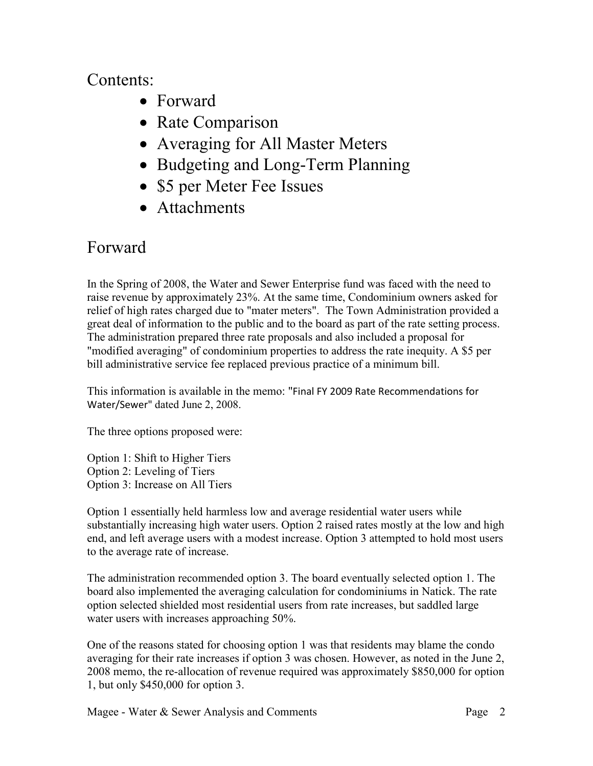## Contents:

- Forward
- Rate Comparison
- Averaging for All Master Meters
- Budgeting and Long-Term Planning
- \$5 per Meter Fee Issues
- Attachments

## Forward

In the Spring of 2008, the Water and Sewer Enterprise fund was faced with the need to raise revenue by approximately 23%. At the same time, Condominium owners asked for relief of high rates charged due to "mater meters". The Town Administration provided a great deal of information to the public and to the board as part of the rate setting process. The administration prepared three rate proposals and also included a proposal for "modified averaging" of condominium properties to address the rate inequity. A \$5 per bill administrative service fee replaced previous practice of a minimum bill.

This information is available in the memo: "Final FY 2009 Rate Recommendations for Water/Sewer" dated June 2, 2008.

The three options proposed were:

Option 1: Shift to Higher Tiers Option 2: Leveling of Tiers Option 3: Increase on All Tiers

Option 1 essentially held harmless low and average residential water users while substantially increasing high water users. Option 2 raised rates mostly at the low and high end, and left average users with a modest increase. Option 3 attempted to hold most users to the average rate of increase.

The administration recommended option 3. The board eventually selected option 1. The board also implemented the averaging calculation for condominiums in Natick. The rate option selected shielded most residential users from rate increases, but saddled large water users with increases approaching 50%.

One of the reasons stated for choosing option 1 was that residents may blame the condo averaging for their rate increases if option 3 was chosen. However, as noted in the June 2, 2008 memo, the re-allocation of revenue required was approximately \$850,000 for option 1, but only \$450,000 for option 3.

Magee - Water  $\&$  Sewer Analysis and Comments Page 2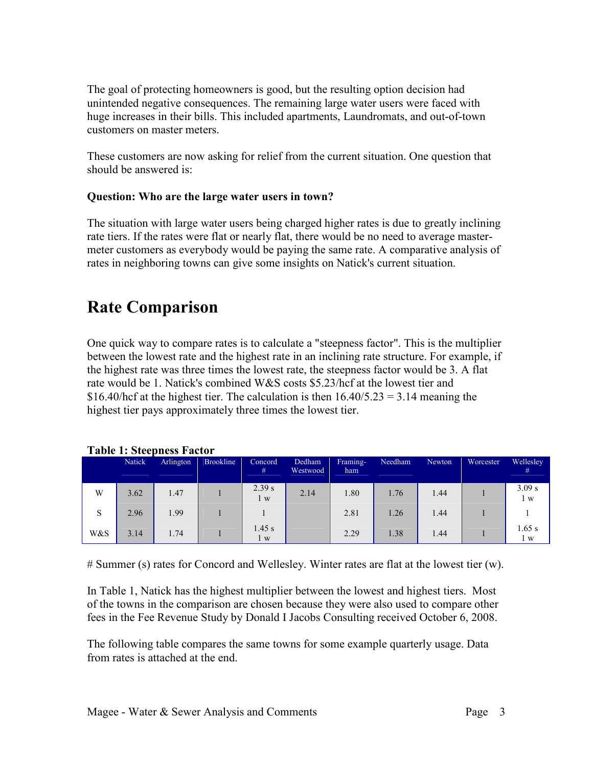The goal of protecting homeowners is good, but the resulting option decision had unintended negative consequences. The remaining large water users were faced with huge increases in their bills. This included apartments, Laundromats, and out-of-town customers on master meters.

These customers are now asking for relief from the current situation. One question that should be answered is:

### **Question: Who are the large water users in town?**

The situation with large water users being charged higher rates is due to greatly inclining rate tiers. If the rates were flat or nearly flat, there would be no need to average mastermeter customers as everybody would be paying the same rate. A comparative analysis of rates in neighboring towns can give some insights on Natick's current situation.

## **Rate Comparison**

One quick way to compare rates is to calculate a "steepness factor". This is the multiplier between the lowest rate and the highest rate in an inclining rate structure. For example, if the highest rate was three times the lowest rate, the steepness factor would be 3. A flat rate would be 1. Natick's combined W&S costs \$5.23/hcf at the lowest tier and \$16.40/hcf at the highest tier. The calculation is then  $16.40/5.23 = 3.14$  meaning the highest tier pays approximately three times the lowest tier.

|     | <b>Natick</b> | Arlington | <b>Brookline</b> | Concord<br>#    | Dedham<br>Westwood | Framing-<br>ham | Needham | Newton | Worcester | Wellesley<br>#  |
|-----|---------------|-----------|------------------|-----------------|--------------------|-----------------|---------|--------|-----------|-----------------|
| W   | 3.62          | 1.47      |                  | 2.39 s<br>l w   | 2.14               | 1.80            | 1.76    | 1.44   |           | 3.09 s<br>1 w   |
| S   | 2.96          | 1.99      |                  |                 |                    | 2.81            | 1.26    | 1.44   |           |                 |
| W&S | 3.14          | 1.74      |                  | $1.45$ s<br>l w |                    | 2.29            | 1.38    | 1.44   |           | $1.65$ s<br>l w |

### **Table 1: Steepness Factor**

# Summer (s) rates for Concord and Wellesley. Winter rates are flat at the lowest tier (w).

In Table 1, Natick has the highest multiplier between the lowest and highest tiers. Most of the towns in the comparison are chosen because they were also used to compare other fees in the Fee Revenue Study by Donald I Jacobs Consulting received October 6, 2008.

The following table compares the same towns for some example quarterly usage. Data from rates is attached at the end.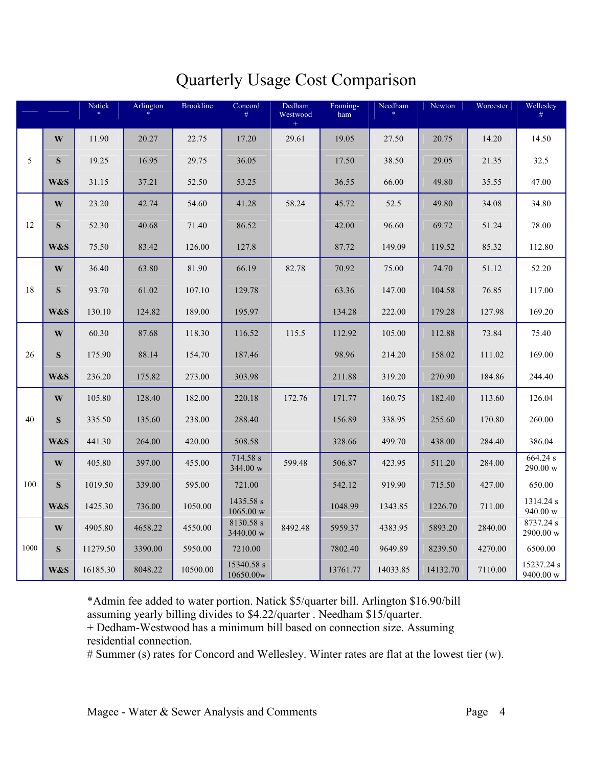# Quarterly Usage Cost Comparison

|      |                | Natick<br>$\ast$ | Arlington | <b>Brookline</b> | Concord<br>$\#$         | Dedham<br>Westwood | Framing-<br>ham | Needham<br>$\ast$ | Newton   | Worcester | Wellesley<br>#          |
|------|----------------|------------------|-----------|------------------|-------------------------|--------------------|-----------------|-------------------|----------|-----------|-------------------------|
|      | $\mathbf{W}$   | 11.90            | 20.27     | 22.75            | 17.20                   | 29.61              | 19.05           | 27.50             | 20.75    | 14.20     | 14.50                   |
| 5    | S              | 19.25            | 16.95     | 29.75            | 36.05                   |                    | 17.50           | 38.50             | 29.05    | 21.35     | 32.5                    |
|      | W&S            | 31.15            | 37.21     | 52.50            | 53.25                   |                    | 36.55           | 66.00             | 49.80    | 35.55     | 47.00                   |
|      | W              | 23.20            | 42.74     | 54.60            | 41.28                   | 58.24              | 45.72           | 52.5              | 49.80    | 34.08     | 34.80                   |
| 12   | S              | 52.30            | 40.68     | 71.40            | 86.52                   |                    | 42.00           | 96.60             | 69.72    | 51.24     | 78.00                   |
|      | <b>W&amp;S</b> | 75.50            | 83.42     | 126.00           | 127.8                   |                    | 87.72           | 149.09            | 119.52   | 85.32     | 112.80                  |
|      | W              | 36.40            | 63.80     | 81.90            | 66.19                   | 82.78              | 70.92           | 75.00             | 74.70    | 51.12     | 52.20                   |
| 18   | S              | 93.70            | 61.02     | 107.10           | 129.78                  |                    | 63.36           | 147.00            | 104.58   | 76.85     | 117.00                  |
|      | W&S            | 130.10           | 124.82    | 189.00           | 195.97                  |                    | 134.28          | 222.00            | 179.28   | 127.98    | 169.20                  |
|      | W              | 60.30            | 87.68     | 118.30           | 116.52                  | 115.5              | 112.92          | 105.00            | 112.88   | 73.84     | 75.40                   |
| 26   | S              | 175.90           | 88.14     | 154.70           | 187.46                  |                    | 98.96           | 214.20            | 158.02   | 111.02    | 169.00                  |
|      | W&S            | 236.20           | 175.82    | 273.00           | 303.98                  |                    | 211.88          | 319.20            | 270.90   | 184.86    | 244.40                  |
|      | $\mathbf{W}$   | 105.80           | 128.40    | 182.00           | 220.18                  | 172.76             | 171.77          | 160.75            | 182.40   | 113.60    | 126.04                  |
| 40   | S              | 335.50           | 135.60    | 238.00           | 288.40                  |                    | 156.89          | 338.95            | 255.60   | 170.80    | 260.00                  |
|      | W&S            | 441.30           | 264.00    | 420.00           | 508.58                  |                    | 328.66          | 499.70            | 438.00   | 284.40    | 386.04                  |
|      | W              | 405.80           | 397.00    | 455.00           | 714.58 s<br>344.00 w    | 599.48             | 506.87          | 423.95            | 511.20   | 284.00    | 664.24 s<br>290.00 w    |
| 100  | S              | 1019.50          | 339.00    | 595.00           | 721.00                  |                    | 542.12          | 919.90            | 715.50   | 427.00    | 650.00                  |
|      | W&S            | 1425.30          | 736.00    | 1050.00          | 1435.58 s<br>1065.00 w  |                    | 1048.99         | 1343.85           | 1226.70  | 711.00    | 1314.24 s<br>940.00 w   |
|      | W              | 4905.80          | 4658.22   | 4550.00          | 8130.58 s<br>3440.00 w  | 8492.48            | 5959.37         | 4383.95           | 5893.20  | 2840.00   | 8737.24 s<br>2900.00 w  |
| 1000 | S              | 11279.50         | 3390.00   | 5950.00          | 7210.00                 |                    | 7802.40         | 9649.89           | 8239.50  | 4270.00   | 6500.00                 |
|      | W&S            | 16185.30         | 8048.22   | 10500.00         | 15340.58 s<br>10650.00w |                    | 13761.77        | 14033.85          | 14132.70 | 7110.00   | 15237.24 s<br>9400.00 w |

\*Admin fee added to water portion. Natick \$5/quarter bill. Arlington \$16.90/bill assuming yearly billing divides to \$4.22/quarter . Needham \$15/quarter.

+ Dedham-Westwood has a minimum bill based on connection size. Assuming residential connection.

# Summer (s) rates for Concord and Wellesley. Winter rates are flat at the lowest tier (w).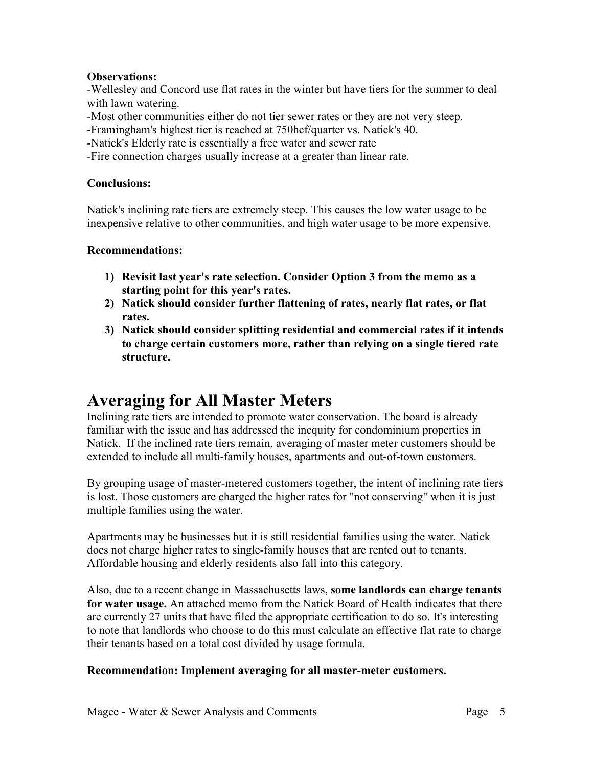### **Observations:**

-Wellesley and Concord use flat rates in the winter but have tiers for the summer to deal with lawn watering.

-Most other communities either do not tier sewer rates or they are not very steep.

-Framingham's highest tier is reached at 750hcf/quarter vs. Natick's 40.

-Natick's Elderly rate is essentially a free water and sewer rate

-Fire connection charges usually increase at a greater than linear rate.

### **Conclusions:**

Natick's inclining rate tiers are extremely steep. This causes the low water usage to be inexpensive relative to other communities, and high water usage to be more expensive.

### **Recommendations:**

- **1) Revisit last year's rate selection. Consider Option 3 from the memo as a starting point for this year's rates.**
- **2) (atick should consider further flattening of rates, nearly flat rates, or flat rates.**
- **3) (atick should consider splitting residential and commercial rates if it intends to charge certain customers more, rather than relying on a single tiered rate structure.**

## **Averaging for All Master Meters**

Inclining rate tiers are intended to promote water conservation. The board is already familiar with the issue and has addressed the inequity for condominium properties in Natick. If the inclined rate tiers remain, averaging of master meter customers should be extended to include all multi-family houses, apartments and out-of-town customers.

By grouping usage of master-metered customers together, the intent of inclining rate tiers is lost. Those customers are charged the higher rates for "not conserving" when it is just multiple families using the water.

Apartments may be businesses but it is still residential families using the water. Natick does not charge higher rates to single-family houses that are rented out to tenants. Affordable housing and elderly residents also fall into this category.

Also, due to a recent change in Massachusetts laws, **some landlords can charge tenants for water usage.** An attached memo from the Natick Board of Health indicates that there are currently 27 units that have filed the appropriate certification to do so. It's interesting to note that landlords who choose to do this must calculate an effective flat rate to charge their tenants based on a total cost divided by usage formula.

### **Recommendation: Implement averaging for all master-meter customers.**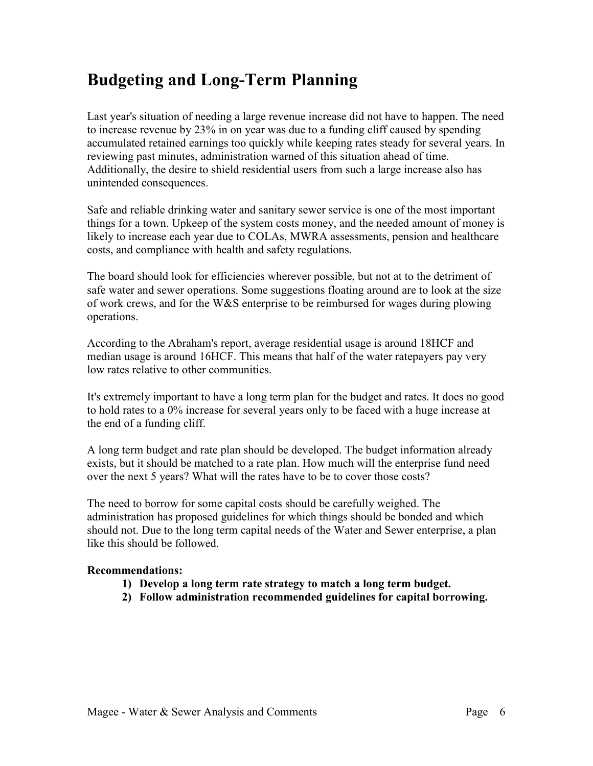## **Budgeting and Long-Term Planning**

Last year's situation of needing a large revenue increase did not have to happen. The need to increase revenue by 23% in on year was due to a funding cliff caused by spending accumulated retained earnings too quickly while keeping rates steady for several years. In reviewing past minutes, administration warned of this situation ahead of time. Additionally, the desire to shield residential users from such a large increase also has unintended consequences.

Safe and reliable drinking water and sanitary sewer service is one of the most important things for a town. Upkeep of the system costs money, and the needed amount of money is likely to increase each year due to COLAs, MWRA assessments, pension and healthcare costs, and compliance with health and safety regulations.

The board should look for efficiencies wherever possible, but not at to the detriment of safe water and sewer operations. Some suggestions floating around are to look at the size of work crews, and for the W&S enterprise to be reimbursed for wages during plowing operations.

According to the Abraham's report, average residential usage is around 18HCF and median usage is around 16HCF. This means that half of the water ratepayers pay very low rates relative to other communities.

It's extremely important to have a long term plan for the budget and rates. It does no good to hold rates to a 0% increase for several years only to be faced with a huge increase at the end of a funding cliff.

A long term budget and rate plan should be developed. The budget information already exists, but it should be matched to a rate plan. How much will the enterprise fund need over the next 5 years? What will the rates have to be to cover those costs?

The need to borrow for some capital costs should be carefully weighed. The administration has proposed guidelines for which things should be bonded and which should not. Due to the long term capital needs of the Water and Sewer enterprise, a plan like this should be followed.

### **Recommendations:**

- **1) Develop a long term rate strategy to match a long term budget.**
- **2) Follow administration recommended guidelines for capital borrowing.**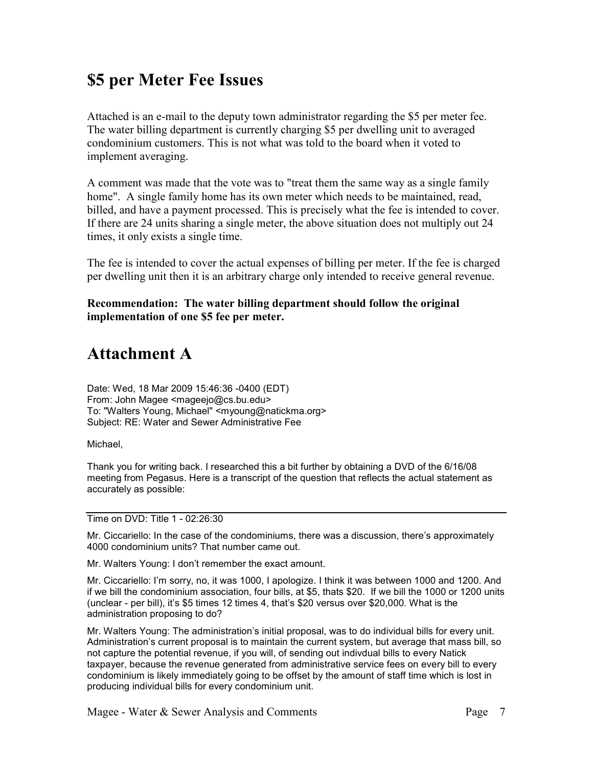## **\$5 per Meter Fee Issues**

Attached is an e-mail to the deputy town administrator regarding the \$5 per meter fee. The water billing department is currently charging \$5 per dwelling unit to averaged condominium customers. This is not what was told to the board when it voted to implement averaging.

A comment was made that the vote was to "treat them the same way as a single family home". A single family home has its own meter which needs to be maintained, read, billed, and have a payment processed. This is precisely what the fee is intended to cover. If there are 24 units sharing a single meter, the above situation does not multiply out 24 times, it only exists a single time.

The fee is intended to cover the actual expenses of billing per meter. If the fee is charged per dwelling unit then it is an arbitrary charge only intended to receive general revenue.

**Recommendation: The water billing department should follow the original implementation of one \$5 fee per meter.** 

## **Attachment A**

Date: Wed, 18 Mar 2009 15:46:36 -0400 (EDT) From: John Magee <mageejo@cs.bu.edu> To: "Walters Young, Michael" <myoung@natickma.org> Subject: RE: Water and Sewer Administrative Fee

Michael,

Thank you for writing back. I researched this a bit further by obtaining a DVD of the 6/16/08 meeting from Pegasus. Here is a transcript of the question that reflects the actual statement as accurately as possible:

Time on DVD: Title 1 - 02:26:30

Mr. Ciccariello: In the case of the condominiums, there was a discussion, there's approximately 4000 condominium units? That number came out.

Mr. Walters Young: I don't remember the exact amount.

Mr. Ciccariello: I'm sorry, no, it was 1000, I apologize. I think it was between 1000 and 1200. And if we bill the condominium association, four bills, at \$5, thats \$20. If we bill the 1000 or 1200 units (unclear - per bill), it's \$5 times 12 times 4, that's \$20 versus over \$20,000. What is the administration proposing to do?

Mr. Walters Young: The administration's initial proposal, was to do individual bills for every unit. Administration's current proposal is to maintain the current system, but average that mass bill, so not capture the potential revenue, if you will, of sending out indivdual bills to every Natick taxpayer, because the revenue generated from administrative service fees on every bill to every condominium is likely immediately going to be offset by the amount of staff time which is lost in producing individual bills for every condominium unit.

Magee - Water & Sewer Analysis and Comments Figure 2. Page 7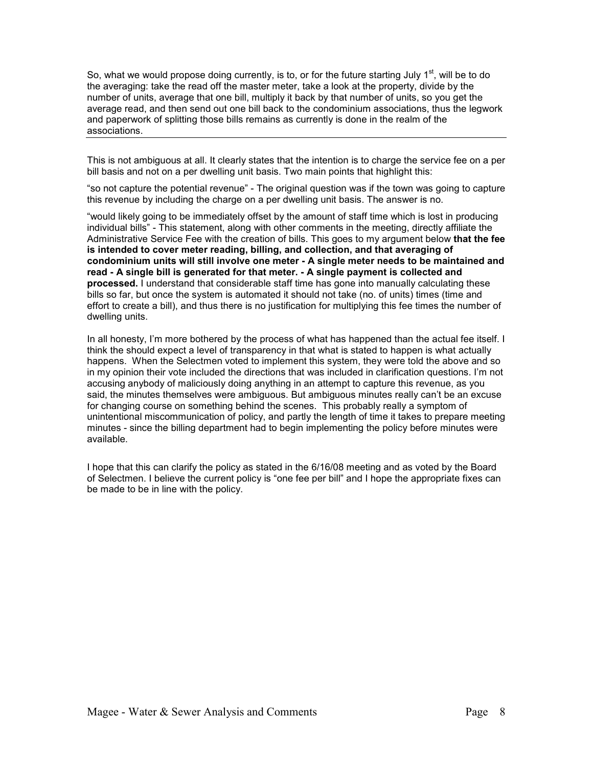So, what we would propose doing currently, is to, or for the future starting July  $1<sup>st</sup>$ , will be to do the averaging: take the read off the master meter, take a look at the property, divide by the number of units, average that one bill, multiply it back by that number of units, so you get the average read, and then send out one bill back to the condominium associations, thus the legwork and paperwork of splitting those bills remains as currently is done in the realm of the associations.

This is not ambiguous at all. It clearly states that the intention is to charge the service fee on a per bill basis and not on a per dwelling unit basis. Two main points that highlight this:

"so not capture the potential revenue" - The original question was if the town was going to capture this revenue by including the charge on a per dwelling unit basis. The answer is no.

"would likely going to be immediately offset by the amount of staff time which is lost in producing individual bills" - This statement, along with other comments in the meeting, directly affiliate the Administrative Service Fee with the creation of bills. This goes to my argument below **that the fee is intended to cover meter reading, billing, and collection, and that averaging of condominium units will still involve one meter - A single meter needs to be maintained and read - A single bill is generated for that meter. - A single payment is collected and processed.** I understand that considerable staff time has gone into manually calculating these bills so far, but once the system is automated it should not take (no. of units) times (time and effort to create a bill), and thus there is no justification for multiplying this fee times the number of dwelling units.

In all honesty, I'm more bothered by the process of what has happened than the actual fee itself. I think the should expect a level of transparency in that what is stated to happen is what actually happens. When the Selectmen voted to implement this system, they were told the above and so in my opinion their vote included the directions that was included in clarification questions. I'm not accusing anybody of maliciously doing anything in an attempt to capture this revenue, as you said, the minutes themselves were ambiguous. But ambiguous minutes really can't be an excuse for changing course on something behind the scenes. This probably really a symptom of unintentional miscommunication of policy, and partly the length of time it takes to prepare meeting minutes - since the billing department had to begin implementing the policy before minutes were available.

I hope that this can clarify the policy as stated in the 6/16/08 meeting and as voted by the Board of Selectmen. I believe the current policy is "one fee per bill" and I hope the appropriate fixes can be made to be in line with the policy.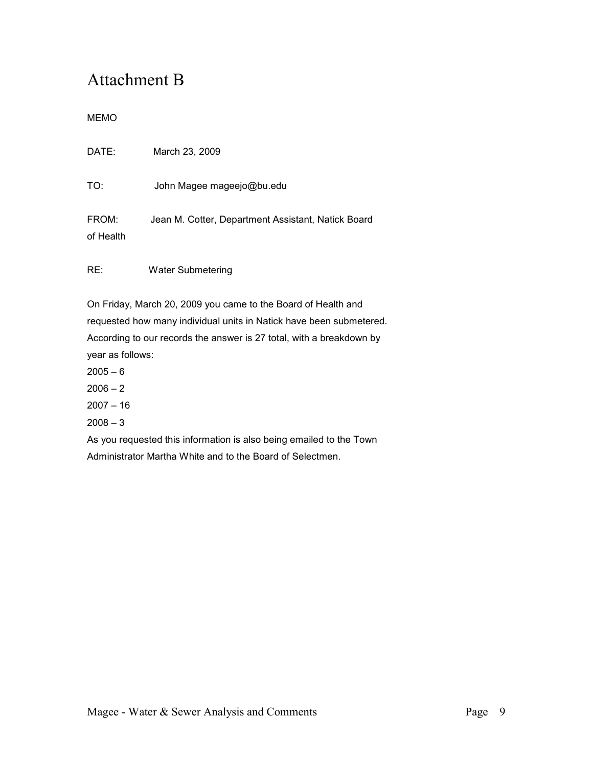# Attachment B

### MEMO

| DATE:              | March 23, 2009                                     |
|--------------------|----------------------------------------------------|
| TO:                | John Magee mageejo@bu.edu                          |
| FROM:<br>of Health | Jean M. Cotter, Department Assistant, Natick Board |

RE: Water Submetering

On Friday, March 20, 2009 you came to the Board of Health and requested how many individual units in Natick have been submetered. According to our records the answer is 27 total, with a breakdown by year as follows:

- $2005 6$
- $2006 2$
- $2007 16$
- $2008 3$

As you requested this information is also being emailed to the Town Administrator Martha White and to the Board of Selectmen.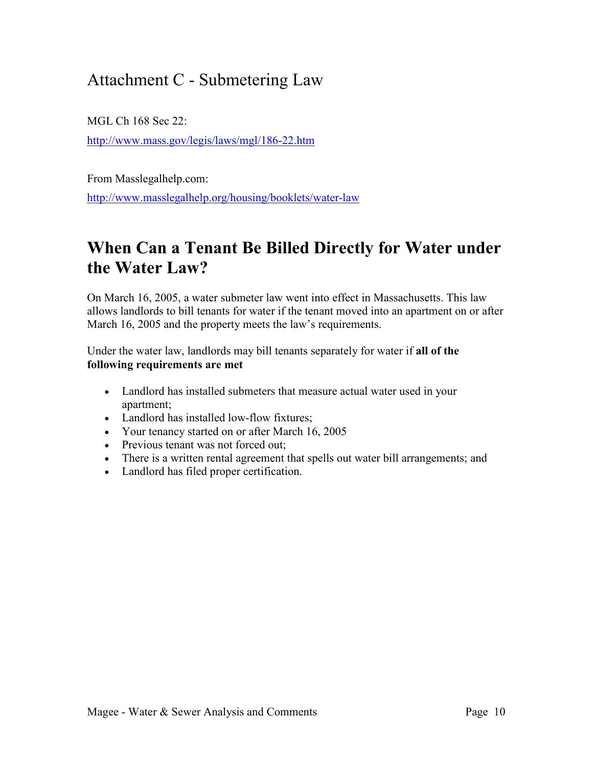## Attachment C - Submetering Law

MGL Ch 168 Sec 22:

http://www.mass.gov/legis/laws/mgl/186-22.htm

From Masslegalhelp.com:

http://www.masslegalhelp.org/housing/booklets/water-law

## **When Can a Tenant Be Billed Directly for Water under the Water Law?**

On March 16, 2005, a water submeter law went into effect in Massachusetts. This law allows landlords to bill tenants for water if the tenant moved into an apartment on or after March 16, 2005 and the property meets the law's requirements.

Under the water law, landlords may bill tenants separately for water if **all of the following requirements are met**

- Landlord has installed submeters that measure actual water used in your apartment;
- Landlord has installed low-flow fixtures;
- Your tenancy started on or after March 16, 2005
- Previous tenant was not forced out;
- There is a written rental agreement that spells out water bill arrangements; and
- Landlord has filed proper certification.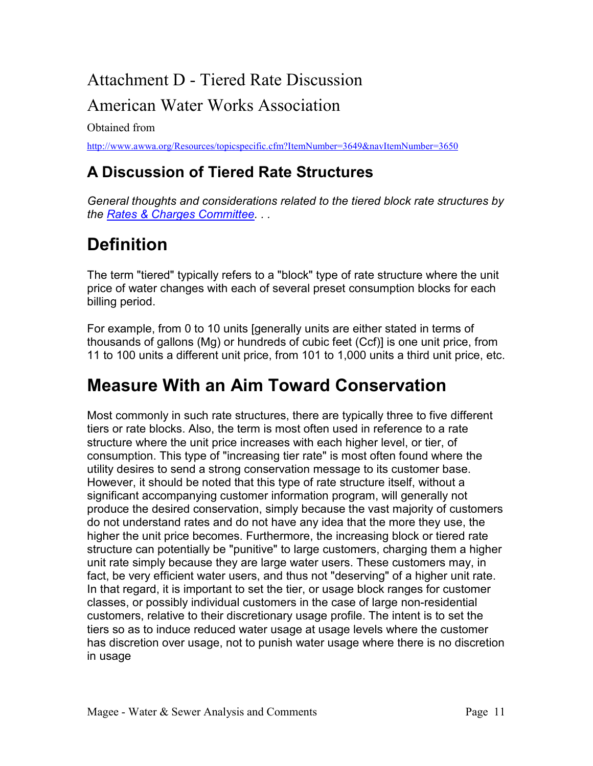# Attachment D - Tiered Rate Discussion

### American Water Works Association

Obtained from

http://www.awwa.org/Resources/topicspecific.cfm?ItemNumber=3649&navItemNumber=3650

## **A Discussion of Tiered Rate Structures**

*General thoughts and considerations related to the tiered block rate structures by the Rates & Charges Committee. . .*

# **Definition**

The term "tiered" typically refers to a "block" type of rate structure where the unit price of water changes with each of several preset consumption blocks for each billing period.

For example, from 0 to 10 units [generally units are either stated in terms of thousands of gallons (Mg) or hundreds of cubic feet (Ccf)] is one unit price, from 11 to 100 units a different unit price, from 101 to 1,000 units a third unit price, etc.

# **Measure With an Aim Toward Conservation**

Most commonly in such rate structures, there are typically three to five different tiers or rate blocks. Also, the term is most often used in reference to a rate structure where the unit price increases with each higher level, or tier, of consumption. This type of "increasing tier rate" is most often found where the utility desires to send a strong conservation message to its customer base. However, it should be noted that this type of rate structure itself, without a significant accompanying customer information program, will generally not produce the desired conservation, simply because the vast majority of customers do not understand rates and do not have any idea that the more they use, the higher the unit price becomes. Furthermore, the increasing block or tiered rate structure can potentially be "punitive" to large customers, charging them a higher unit rate simply because they are large water users. These customers may, in fact, be very efficient water users, and thus not "deserving" of a higher unit rate. In that regard, it is important to set the tier, or usage block ranges for customer classes, or possibly individual customers in the case of large non-residential customers, relative to their discretionary usage profile. The intent is to set the tiers so as to induce reduced water usage at usage levels where the customer has discretion over usage, not to punish water usage where there is no discretion in usage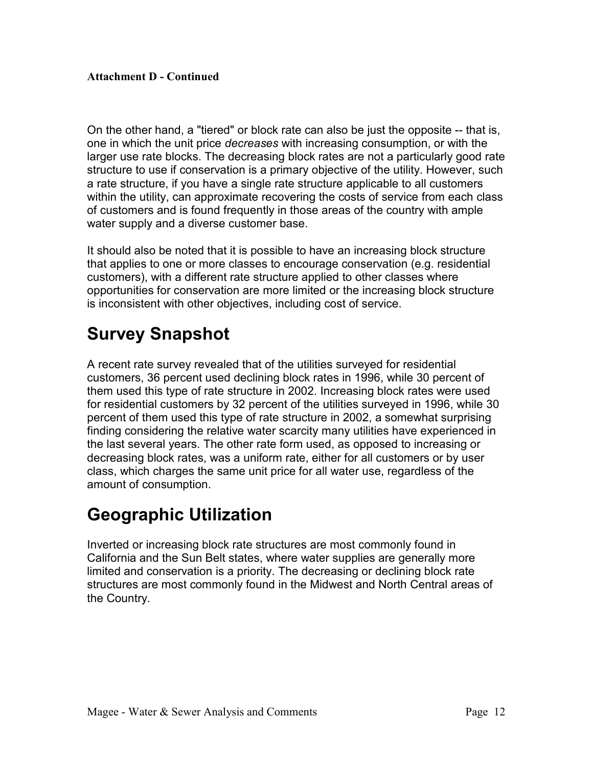### **Attachment D - Continued**

On the other hand, a "tiered" or block rate can also be just the opposite -- that is, one in which the unit price *decreases* with increasing consumption, or with the larger use rate blocks. The decreasing block rates are not a particularly good rate structure to use if conservation is a primary objective of the utility. However, such a rate structure, if you have a single rate structure applicable to all customers within the utility, can approximate recovering the costs of service from each class of customers and is found frequently in those areas of the country with ample water supply and a diverse customer base.

It should also be noted that it is possible to have an increasing block structure that applies to one or more classes to encourage conservation (e.g. residential customers), with a different rate structure applied to other classes where opportunities for conservation are more limited or the increasing block structure is inconsistent with other objectives, including cost of service.

## **Survey Snapshot**

A recent rate survey revealed that of the utilities surveyed for residential customers, 36 percent used declining block rates in 1996, while 30 percent of them used this type of rate structure in 2002. Increasing block rates were used for residential customers by 32 percent of the utilities surveyed in 1996, while 30 percent of them used this type of rate structure in 2002, a somewhat surprising finding considering the relative water scarcity many utilities have experienced in the last several years. The other rate form used, as opposed to increasing or decreasing block rates, was a uniform rate, either for all customers or by user class, which charges the same unit price for all water use, regardless of the amount of consumption.

# **Geographic Utilization**

Inverted or increasing block rate structures are most commonly found in California and the Sun Belt states, where water supplies are generally more limited and conservation is a priority. The decreasing or declining block rate structures are most commonly found in the Midwest and North Central areas of the Country.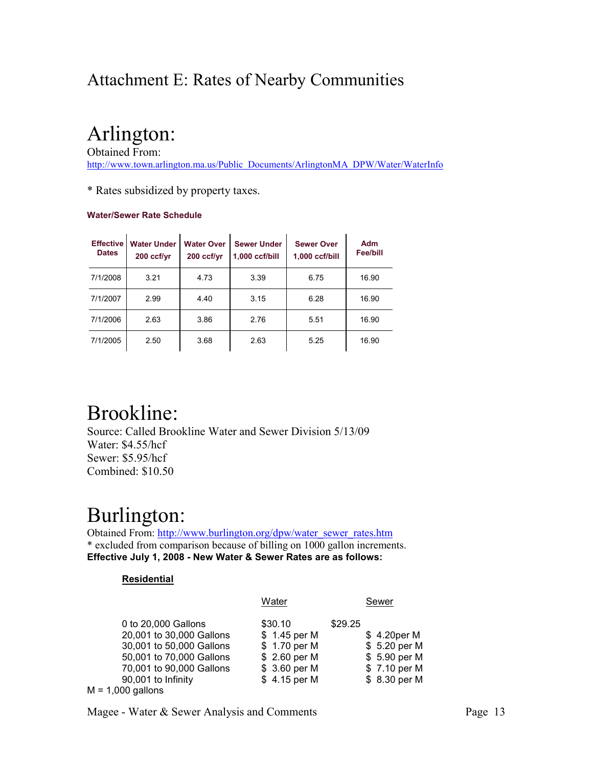## Attachment E: Rates of Nearby Communities

# Arlington:

Obtained From: http://www.town.arlington.ma.us/Public\_Documents/ArlingtonMA\_DPW/Water/WaterInfo

\* Rates subsidized by property taxes.

#### **Water/Sewer Rate Schedule**

| <b>Effective</b><br><b>Dates</b> | <b>Water Under</b><br>200 ccf/yr | <b>Water Over</b><br>200 ccf/yr | <b>Sewer Under</b><br>1,000 ccf/bill | <b>Sewer Over</b><br>1,000 ccf/bill | Adm<br><b>Fee/bill</b> |
|----------------------------------|----------------------------------|---------------------------------|--------------------------------------|-------------------------------------|------------------------|
| 7/1/2008                         | 3.21                             | 4.73                            | 3.39                                 | 6.75                                | 16.90                  |
| 7/1/2007                         | 2.99                             | 4.40                            | 3.15                                 | 6.28                                | 16.90                  |
| 7/1/2006                         | 2.63                             | 3.86                            | 2.76                                 | 5.51                                | 16.90                  |
| 7/1/2005                         | 2.50                             | 3.68                            | 2.63                                 | 5.25                                | 16.90                  |

# Brookline:

Source: Called Brookline Water and Sewer Division 5/13/09 Water: \$4.55/hcf Sewer: \$5.95/hcf Combined: \$10.50

# Burlington:

Obtained From: http://www.burlington.org/dpw/water\_sewer\_rates.htm \* excluded from comparison because of billing on 1000 gallon increments. **Effective July 1, 2008 - New Water & Sewer Rates are as follows:**

#### **Residential**

|                                                                                                                                                           | Water                                                                                    | Sewer                                                                                    |
|-----------------------------------------------------------------------------------------------------------------------------------------------------------|------------------------------------------------------------------------------------------|------------------------------------------------------------------------------------------|
| 0 to 20,000 Gallons<br>20,001 to 30,000 Gallons<br>30,001 to 50,000 Gallons<br>50,001 to 70,000 Gallons<br>70,001 to 90,000 Gallons<br>90,001 to Infinity | \$30.10<br>\$1.45 per M<br>\$1.70 per M<br>\$2.60 per M<br>\$ 3.60 per M<br>\$4.15 per M | \$29.25<br>\$4.20 per M<br>\$5.20 per M<br>\$5.90 per M<br>\$7.10 per M<br>\$ 8.30 per M |
| $M = 1,000$ gallons                                                                                                                                       |                                                                                          |                                                                                          |

Magee - Water & Sewer Analysis and Comments Page 13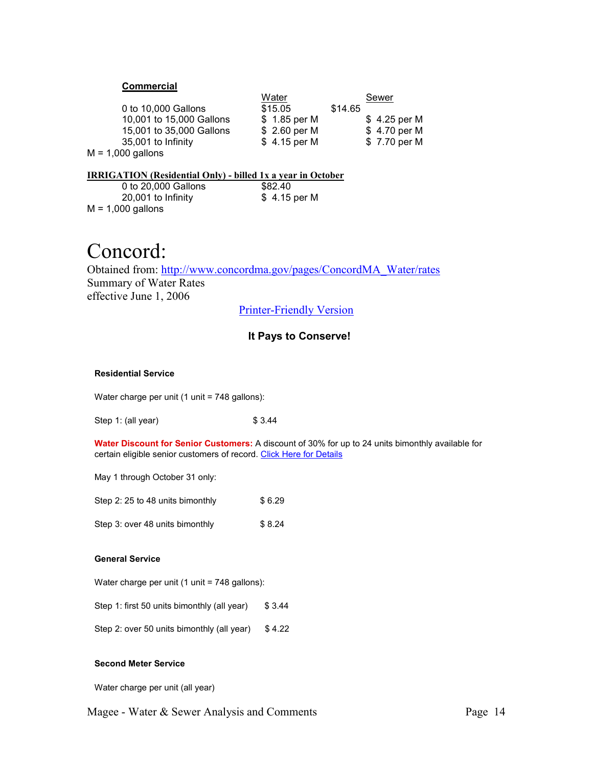#### **Commercial**

|                          | Water        | Sewer         |
|--------------------------|--------------|---------------|
| 0 to 10,000 Gallons      | \$15.05      | \$14.65       |
| 10,001 to 15,000 Gallons | \$1.85 per M | $$4.25$ per M |
| 15,001 to 35,000 Gallons | \$2.60 per M | \$4.70 per M  |
| 35,001 to Infinity       | \$4.15 per M | \$7.70 per M  |
| $M = 1,000$ gallons      |              |               |

#### **IRRIGATION (Residential Only) - billed 1x a year in October**

| 0 to 20,000 Gallons | \$82.40       |
|---------------------|---------------|
| 20,001 to Infinity  | $$4.15$ per M |
| $M = 1,000$ gallons |               |

# Concord:

Obtained from: http://www.concordma.gov/pages/ConcordMA\_Water/rates Summary of Water Rates effective June 1, 2006

Printer-Friendly Version

#### **It Pays to Conserve!**

#### **Residential Service**

Water charge per unit (1 unit = 748 gallons):

Step 1: (all year) \$ 3.44

**Water Discount for Senior Customers:** A discount of 30% for up to 24 units bimonthly available for certain eligible senior customers of record. Click Here for Details

May 1 through October 31 only:

Step 2:  $25$  to 48 units bimonthly  $$6.29$ 

Step 3: over 48 units bimonthly \$8.24

#### **General Service**

Water charge per unit (1 unit = 748 gallons):

Step 1: first 50 units bimonthly (all year) \$ 3.44

Step 2: over 50 units bimonthly (all year)  $$4.22$ 

#### **Second Meter Service**

Water charge per unit (all year)

Magee - Water & Sewer Analysis and Comments Page 14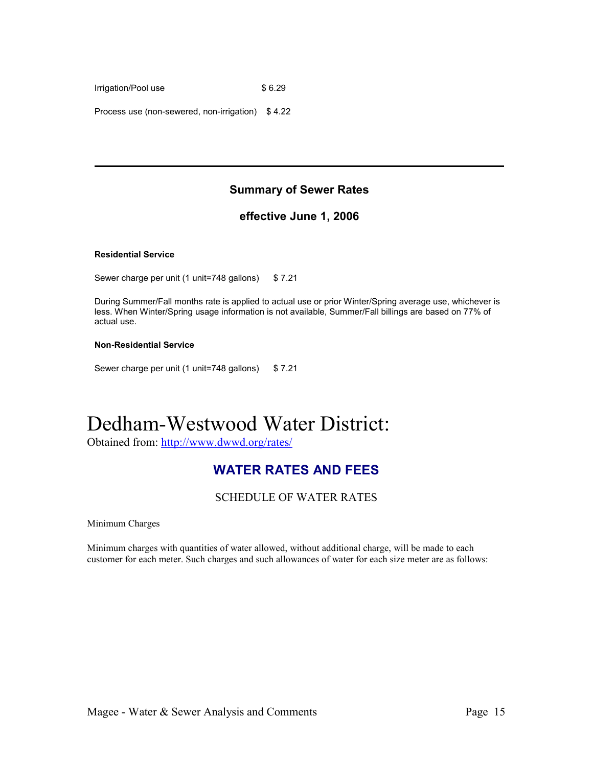Irrigation/Pool use \$6.29

Process use (non-sewered, non-irrigation) \$ 4.22

### **Summary of Sewer Rates**

### **effective June 1, 2006**

#### **Residential Service**

Sewer charge per unit (1 unit=748 gallons) \$7.21

During Summer/Fall months rate is applied to actual use or prior Winter/Spring average use, whichever is less. When Winter/Spring usage information is not available, Summer/Fall billings are based on 77% of actual use.

#### **Non-Residential Service**

Sewer charge per unit (1 unit=748 gallons) \$ 7.21

# Dedham-Westwood Water District:

Obtained from: http://www.dwwd.org/rates/

### **WATER RATES AND FEES**

SCHEDULE OF WATER RATES

Minimum Charges

Minimum charges with quantities of water allowed, without additional charge, will be made to each customer for each meter. Such charges and such allowances of water for each size meter are as follows: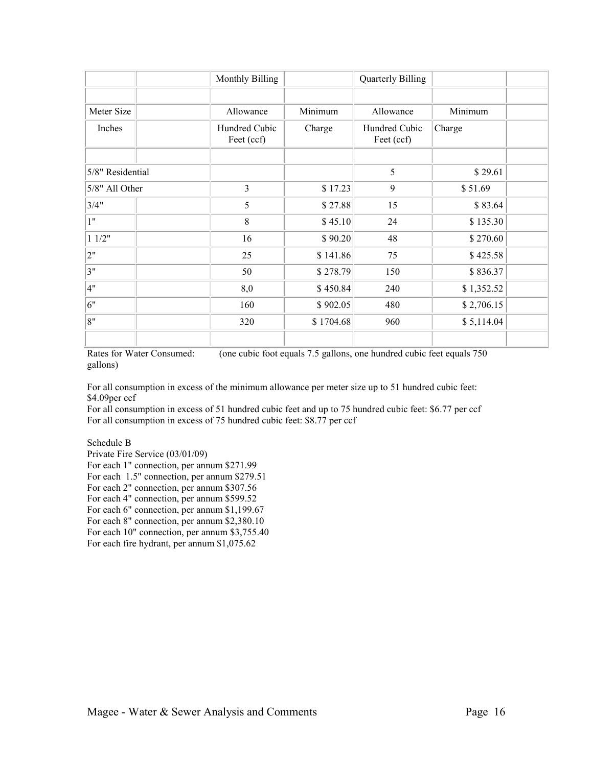|                  | Monthly Billing             |           | <b>Quarterly Billing</b>    |            |  |
|------------------|-----------------------------|-----------|-----------------------------|------------|--|
|                  |                             |           |                             |            |  |
| Meter Size       | Allowance                   | Minimum   | Allowance                   | Minimum    |  |
| Inches           | Hundred Cubic<br>Feet (ccf) | Charge    | Hundred Cubic<br>Feet (ccf) | Charge     |  |
|                  |                             |           |                             |            |  |
| 5/8" Residential |                             |           | 5                           | \$29.61    |  |
| 5/8" All Other   | 3                           | \$17.23   | 9                           | \$51.69    |  |
| 3/4"             | 5                           | \$27.88   | 15                          | \$83.64    |  |
| 1"               | $\,8\,$                     | \$45.10   | 24                          | \$135.30   |  |
| 11/2"            | 16                          | \$90.20   | 48                          | \$270.60   |  |
| 2"               | 25                          | \$141.86  | 75                          | \$425.58   |  |
| 3"               | 50                          | \$278.79  | 150                         | \$836.37   |  |
| 4"               | 8,0                         | \$450.84  | 240                         | \$1,352.52 |  |
| 6"               | 160                         | \$902.05  | 480                         | \$2,706.15 |  |
| 8"               | 320                         | \$1704.68 | 960                         | \$5,114.04 |  |
|                  |                             |           |                             |            |  |

Rates for Water Consumed: (one cubic foot equals 7.5 gallons, one hundred cubic feet equals 750 gallons)

For all consumption in excess of the minimum allowance per meter size up to 51 hundred cubic feet: \$4.09per ccf

For all consumption in excess of 51 hundred cubic feet and up to 75 hundred cubic feet: \$6.77 per ccf For all consumption in excess of 75 hundred cubic feet: \$8.77 per ccf

Schedule B

Private Fire Service (03/01/09)

For each 1" connection, per annum \$271.99

For each 1.5" connection, per annum \$279.51

For each 2" connection, per annum \$307.56

For each 4" connection, per annum \$599.52 For each 6" connection, per annum \$1,199.67

For each 8" connection, per annum \$2,380.10

For each 10" connection, per annum \$3,755.40

For each fire hydrant, per annum \$1,075.62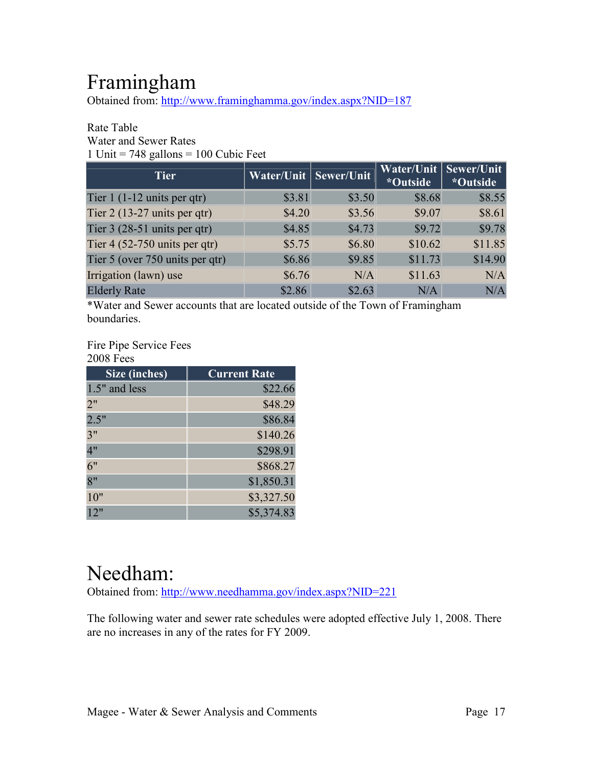# Framingham

Obtained from: http://www.framinghamma.gov/index.aspx?NID=187

### Rate Table Water and Sewer Rates

1 Unit  $= 748$  gallons  $= 100$  Cubic Feet

| <b>Tier</b>                            | <b>Water/Unit   Sewer/Unit</b> |        | Water/Unit<br>*Outside | Sewer/Unit<br>*Outside |
|----------------------------------------|--------------------------------|--------|------------------------|------------------------|
| Tier $1(1-12 \text{ units per qt})$    | \$3.81                         | \$3.50 | \$8.68                 | \$8.55                 |
| Tier $2(13-27 \text{ units per qt})$   | \$4.20                         | \$3.56 | \$9.07                 | \$8.61                 |
| Tier $3(28-51 \text{ units per qtr})$  | \$4.85                         | \$4.73 | \$9.72                 | \$9.78                 |
| Tier $4(52-750 \text{ units per qtr})$ | \$5.75                         | \$6.80 | \$10.62                | \$11.85                |
| Tier 5 (over 750 units per qtr)        | \$6.86                         | \$9.85 | \$11.73                | \$14.90                |
| Irrigation (lawn) use                  | \$6.76                         | N/A    | \$11.63                | N/A                    |
| <b>Elderly Rate</b>                    | \$2.86                         | \$2.63 | N/A                    | N/A                    |

\*Water and Sewer accounts that are located outside of the Town of Framingham boundaries.

#### Fire Pipe Service Fees 200 $\sigma$  Fe

| <b>2008 Fees</b> |                     |
|------------------|---------------------|
| Size (inches)    | <b>Current Rate</b> |
| 1.5" and less    | \$22.66             |
| 2"               | \$48.29             |
| 2.5"             | \$86.84             |
| 3"               | \$140.26            |
| 4"               | \$298.91            |
| 6"               | \$868.27            |
| 8"               | \$1,850.31          |
| 10"              | \$3,327.50          |
| 12"              | \$5,374.83          |

# Needham:

Obtained from: http://www.needhamma.gov/index.aspx?NID=221

The following water and sewer rate schedules were adopted effective July 1, 2008. There are no increases in any of the rates for FY 2009.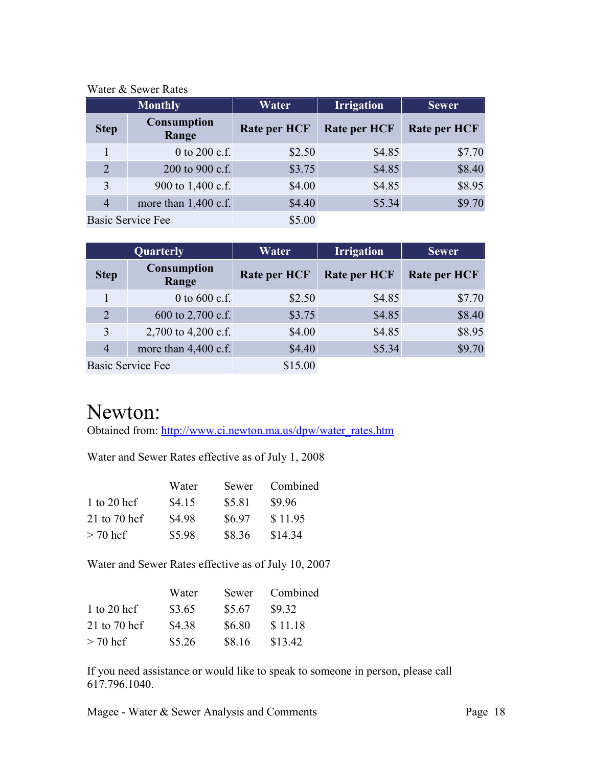| <u>nator</u> & Domor Ratos |                             |                     |                     |                     |  |
|----------------------------|-----------------------------|---------------------|---------------------|---------------------|--|
| <b>Monthly</b>             |                             | Water               | <b>Irrigation</b>   | <b>Sewer</b>        |  |
| <b>Step</b>                | <b>Consumption</b><br>Range | <b>Rate per HCF</b> | <b>Rate per HCF</b> | <b>Rate per HCF</b> |  |
|                            | 0 to 200 c.f.               | \$2.50              | \$4.85              | \$7.70              |  |
| 2                          | 200 to 900 c.f.             | \$3.75              | \$4.85              | \$8.40              |  |
| 3                          | 900 to 1,400 c.f.           | \$4.00              | \$4.85              | \$8.95              |  |
| $\overline{4}$             | more than 1,400 c.f.        | \$4.40              | \$5.34              | \$9.70              |  |
|                            | <b>Basic Service Fee</b>    | \$5.00              |                     |                     |  |

### Water & Sewer Rates

| Quarterly      |                             | Water               | <b>Irrigation</b>   | <b>Sewer</b>        |  |
|----------------|-----------------------------|---------------------|---------------------|---------------------|--|
| <b>Step</b>    | <b>Consumption</b><br>Range | <b>Rate per HCF</b> | <b>Rate per HCF</b> | <b>Rate per HCF</b> |  |
|                | 0 to $600$ c.f.             | \$2.50              | \$4.85              | \$7.70              |  |
| $\overline{2}$ | 600 to 2,700 c.f.           | \$3.75              | \$4.85              | \$8.40              |  |
| 3              | 2,700 to 4,200 c.f.         | \$4.00              | \$4.85              | \$8.95              |  |
| $\overline{4}$ | more than $4,400$ c.f.      | \$4.40              | \$5.34              | \$9.70              |  |
|                | <b>Basic Service Fee</b>    | \$15.00             |                     |                     |  |

# Newton:

Obtained from: http://www.ci.newton.ma.us/dpw/water\_rates.htm

Water and Sewer Rates effective as of July 1, 2008

|                | Water  | Sewer  | Combined |
|----------------|--------|--------|----------|
| 1 to 20 hcf    | \$4.15 | \$5.81 | \$9.96   |
| $21$ to 70 hcf | \$4.98 | \$6.97 | \$11.95  |
| $> 70$ hcf     | \$5.98 | \$8.36 | \$14.34  |

Water and Sewer Rates effective as of July 10, 2007

|              | Water  | Sewer  | Combined |
|--------------|--------|--------|----------|
| 1 to 20 hcf  | \$3.65 | \$5.67 | \$9.32   |
| 21 to 70 hcf | \$4.38 | \$6.80 | \$11.18  |
| $> 70$ hcf   | \$5.26 | \$8.16 | \$13.42  |

If you need assistance or would like to speak to someone in person, please call 617.796.1040.

Magee - Water & Sewer Analysis and Comments Page 18